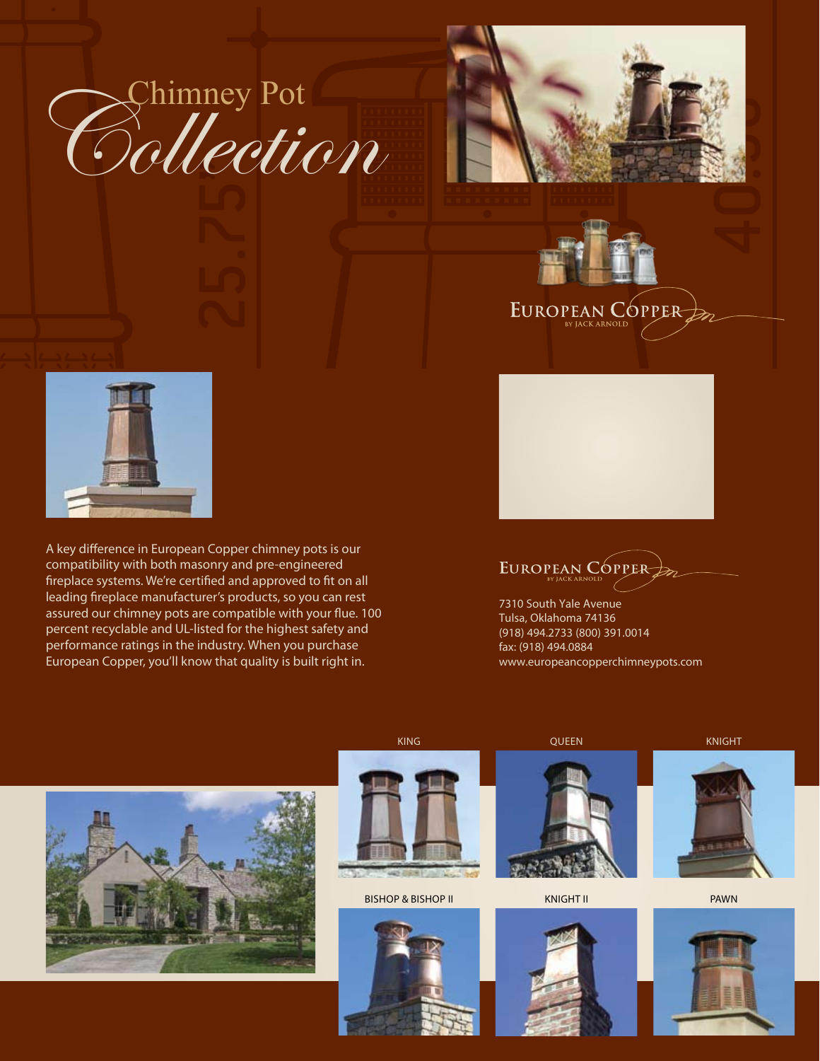





A key difference in European Copper chimney pots is our compatibility with both masonry and pre-engineered fireplace systems. We're certified and approved to fit on all leading fireplace manufacturer's products, so you can rest assured our chimney pots are compatible with your flue. 100 percent recyclable and UL-listed for the highest safety and performance ratings in the industry. When you purchase European Copper, you'll know that quality is built right in.



EUROPEAN CÓPPER

EUROPEAN CÓPPER

7310 South Yale Avenue Tulsa, Oklahoma 74136 (918) 494.2733 (800) 391.0014 fax: (918) 494.0884 www.europeancopperchimneypots.com





king

### Bishop & bishop II





**QUEEN** 

Knight II







pawn